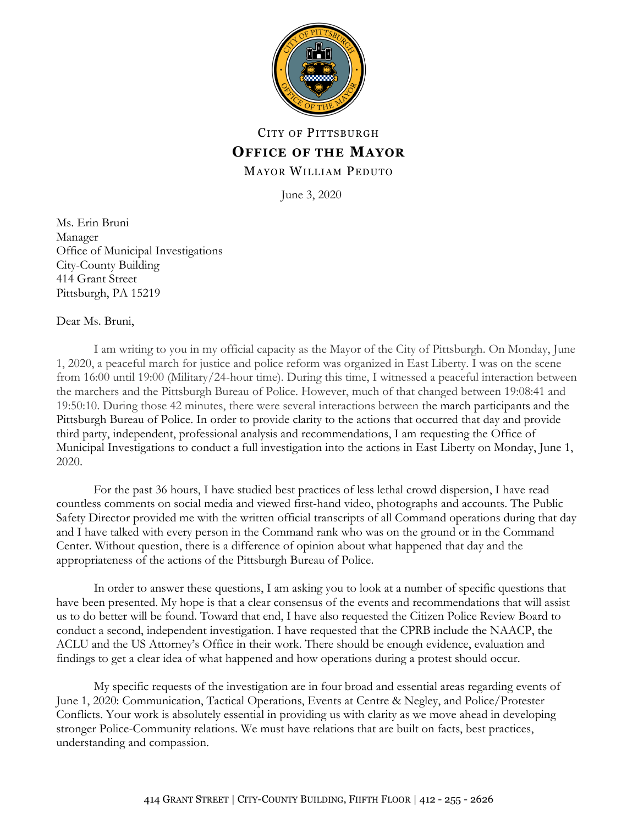

# CITY OF PITTSBURGH **OFFICE OF THE MAYOR** MAYOR WILLIAM PEDUTO

June 3, 2020

Ms. Erin Bruni Manager Office of Municipal Investigations City-County Building 414 Grant Street Pittsburgh, PA 15219

Dear Ms. Bruni,

I am writing to you in my official capacity as the Mayor of the City of Pittsburgh. On Monday, June 1, 2020, a peaceful march for justice and police reform was organized in East Liberty. I was on the scene from 16:00 until 19:00 (Military/24-hour time). During this time, I witnessed a peaceful interaction between the marchers and the Pittsburgh Bureau of Police. However, much of that changed between 19:08:41 and 19:50:10. During those 42 minutes, there were several interactions between the march participants and the Pittsburgh Bureau of Police. In order to provide clarity to the actions that occurred that day and provide third party, independent, professional analysis and recommendations, I am requesting the Office of Municipal Investigations to conduct a full investigation into the actions in East Liberty on Monday, June 1, 2020.

For the past 36 hours, I have studied best practices of less lethal crowd dispersion, I have read countless comments on social media and viewed first-hand video, photographs and accounts. The Public Safety Director provided me with the written official transcripts of all Command operations during that day and I have talked with every person in the Command rank who was on the ground or in the Command Center. Without question, there is a difference of opinion about what happened that day and the appropriateness of the actions of the Pittsburgh Bureau of Police.

In order to answer these questions, I am asking you to look at a number of specific questions that have been presented. My hope is that a clear consensus of the events and recommendations that will assist us to do better will be found. Toward that end, I have also requested the Citizen Police Review Board to conduct a second, independent investigation. I have requested that the CPRB include the NAACP, the ACLU and the US Attorney's Office in their work. There should be enough evidence, evaluation and findings to get a clear idea of what happened and how operations during a protest should occur.

My specific requests of the investigation are in four broad and essential areas regarding events of June 1, 2020: Communication, Tactical Operations, Events at Centre & Negley, and Police/Protester Conflicts. Your work is absolutely essential in providing us with clarity as we move ahead in developing stronger Police-Community relations. We must have relations that are built on facts, best practices, understanding and compassion.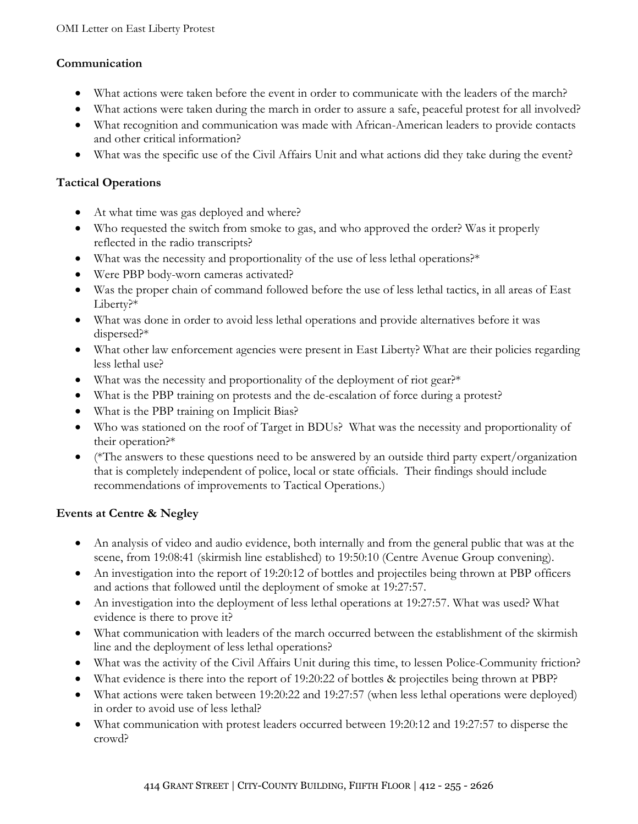### **Communication**

- What actions were taken before the event in order to communicate with the leaders of the march?
- What actions were taken during the march in order to assure a safe, peaceful protest for all involved?
- What recognition and communication was made with African-American leaders to provide contacts and other critical information?
- What was the specific use of the Civil Affairs Unit and what actions did they take during the event?

#### **Tactical Operations**

- At what time was gas deployed and where?
- Who requested the switch from smoke to gas, and who approved the order? Was it properly reflected in the radio transcripts?
- What was the necessity and proportionality of the use of less lethal operations?\*
- Were PBP body-worn cameras activated?
- Was the proper chain of command followed before the use of less lethal tactics, in all areas of East Liberty?\*
- What was done in order to avoid less lethal operations and provide alternatives before it was dispersed?\*
- What other law enforcement agencies were present in East Liberty? What are their policies regarding less lethal use?
- What was the necessity and proportionality of the deployment of riot gear?\*
- What is the PBP training on protests and the de-escalation of force during a protest?
- What is the PBP training on Implicit Bias?
- Who was stationed on the roof of Target in BDUs? What was the necessity and proportionality of their operation?\*
- (\*The answers to these questions need to be answered by an outside third party expert/organization that is completely independent of police, local or state officials. Their findings should include recommendations of improvements to Tactical Operations.)

## **Events at Centre & Negley**

- An analysis of video and audio evidence, both internally and from the general public that was at the scene, from 19:08:41 (skirmish line established) to 19:50:10 (Centre Avenue Group convening).
- An investigation into the report of 19:20:12 of bottles and projectiles being thrown at PBP officers and actions that followed until the deployment of smoke at 19:27:57.
- An investigation into the deployment of less lethal operations at 19:27:57. What was used? What evidence is there to prove it?
- What communication with leaders of the march occurred between the establishment of the skirmish line and the deployment of less lethal operations?
- What was the activity of the Civil Affairs Unit during this time, to lessen Police-Community friction?
- What evidence is there into the report of 19:20:22 of bottles & projectiles being thrown at PBP?
- What actions were taken between 19:20:22 and 19:27:57 (when less lethal operations were deployed) in order to avoid use of less lethal?
- What communication with protest leaders occurred between 19:20:12 and 19:27:57 to disperse the crowd?